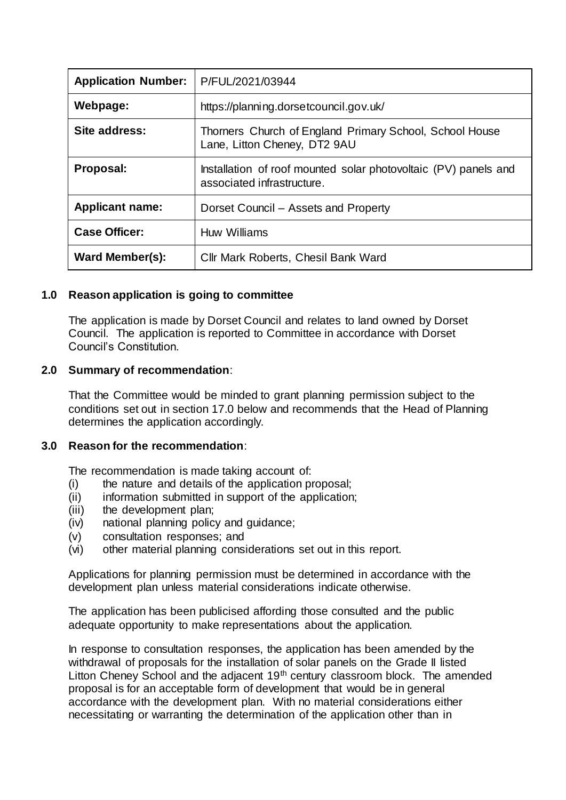| <b>Application Number:</b> | P/FUL/2021/03944                                                                              |
|----------------------------|-----------------------------------------------------------------------------------------------|
| Webpage:                   | https://planning.dorsetcouncil.gov.uk/                                                        |
| Site address:              | Thorners Church of England Primary School, School House<br>Lane, Litton Cheney, DT2 9AU       |
| Proposal:                  | Installation of roof mounted solar photovoltaic (PV) panels and<br>associated infrastructure. |
| <b>Applicant name:</b>     | Dorset Council – Assets and Property                                                          |
| <b>Case Officer:</b>       | Huw Williams                                                                                  |
| <b>Ward Member(s):</b>     | Cllr Mark Roberts, Chesil Bank Ward                                                           |

## **1.0 Reason application is going to committee**

The application is made by Dorset Council and relates to land owned by Dorset Council. The application is reported to Committee in accordance with Dorset Council's Constitution.

## **2.0 Summary of recommendation**:

That the Committee would be minded to grant planning permission subject to the conditions set out in section 17.0 below and recommends that the Head of Planning determines the application accordingly.

## **3.0 Reason for the recommendation**:

The recommendation is made taking account of:

- (i) the nature and details of the application proposal;
- (ii) information submitted in support of the application;
- (iii) the development plan;
- (iv) national planning policy and guidance;
- (v) consultation responses; and
- (vi) other material planning considerations set out in this report.

Applications for planning permission must be determined in accordance with the development plan unless material considerations indicate otherwise.

The application has been publicised affording those consulted and the public adequate opportunity to make representations about the application.

In response to consultation responses, the application has been amended by the withdrawal of proposals for the installation of solar panels on the Grade II listed Litton Cheney School and the adjacent 19<sup>th</sup> century classroom block. The amended proposal is for an acceptable form of development that would be in general accordance with the development plan. With no material considerations either necessitating or warranting the determination of the application other than in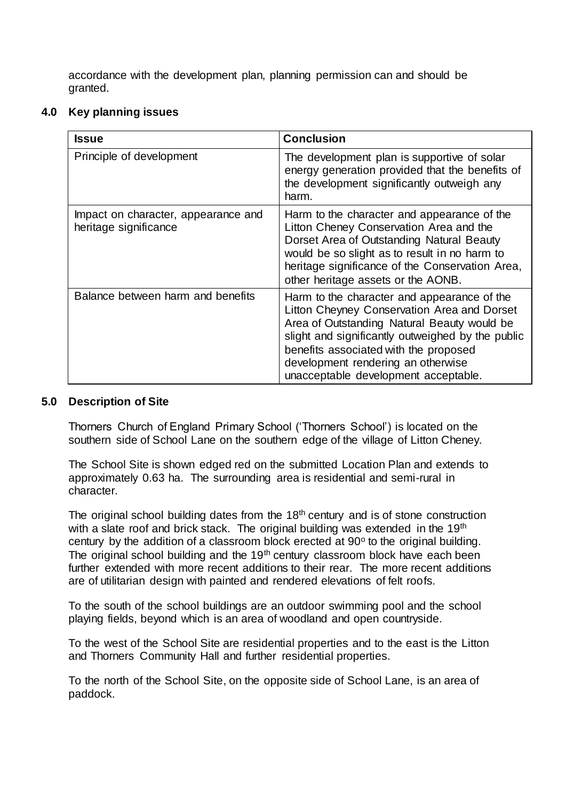accordance with the development plan, planning permission can and should be granted.

## **4.0 Key planning issues**

| <b>Issue</b>                                                 | <b>Conclusion</b>                                                                                                                                                                                                                                                                                                     |
|--------------------------------------------------------------|-----------------------------------------------------------------------------------------------------------------------------------------------------------------------------------------------------------------------------------------------------------------------------------------------------------------------|
| Principle of development                                     | The development plan is supportive of solar<br>energy generation provided that the benefits of<br>the development significantly outweigh any<br>harm.                                                                                                                                                                 |
| Impact on character, appearance and<br>heritage significance | Harm to the character and appearance of the<br>Litton Cheney Conservation Area and the<br>Dorset Area of Outstanding Natural Beauty<br>would be so slight as to result in no harm to<br>heritage significance of the Conservation Area,<br>other heritage assets or the AONB.                                         |
| Balance between harm and benefits                            | Harm to the character and appearance of the<br>Litton Cheyney Conservation Area and Dorset<br>Area of Outstanding Natural Beauty would be<br>slight and significantly outweighed by the public<br>benefits associated with the proposed<br>development rendering an otherwise<br>unacceptable development acceptable. |

## **5.0 Description of Site**

Thorners Church of England Primary School ('Thorners School') is located on the southern side of School Lane on the southern edge of the village of Litton Cheney.

The School Site is shown edged red on the submitted Location Plan and extends to approximately 0.63 ha. The surrounding area is residential and semi-rural in character.

The original school building dates from the  $18<sup>th</sup>$  century and is of stone construction with a slate roof and brick stack. The original building was extended in the 19<sup>th</sup> century by the addition of a classroom block erected at  $90^{\circ}$  to the original building. The original school building and the 19<sup>th</sup> century classroom block have each been further extended with more recent additions to their rear. The more recent additions are of utilitarian design with painted and rendered elevations of felt roofs.

To the south of the school buildings are an outdoor swimming pool and the school playing fields, beyond which is an area of woodland and open countryside.

To the west of the School Site are residential properties and to the east is the Litton and Thorners Community Hall and further residential properties.

To the north of the School Site, on the opposite side of School Lane, is an area of paddock.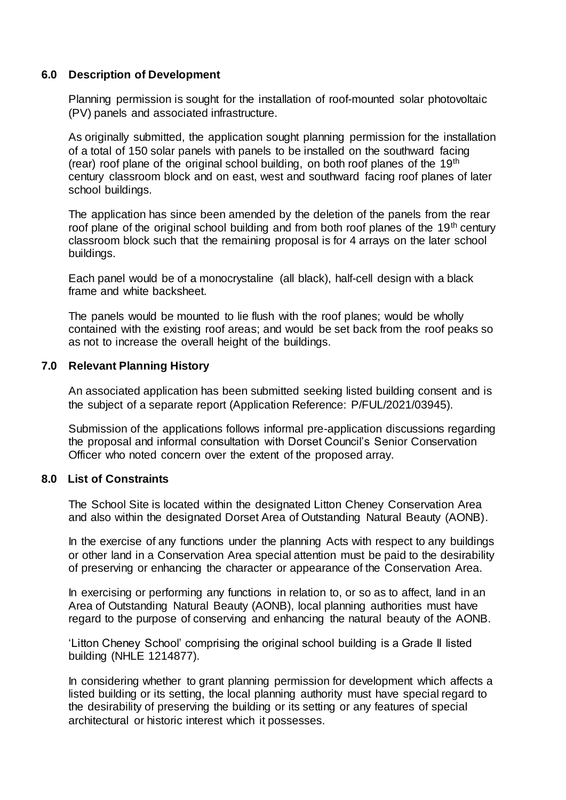#### **6.0 Description of Development**

Planning permission is sought for the installation of roof-mounted solar photovoltaic (PV) panels and associated infrastructure.

As originally submitted, the application sought planning permission for the installation of a total of 150 solar panels with panels to be installed on the southward facing (rear) roof plane of the original school building, on both roof planes of the  $19<sup>th</sup>$ century classroom block and on east, west and southward facing roof planes of later school buildings.

The application has since been amended by the deletion of the panels from the rear roof plane of the original school building and from both roof planes of the 19<sup>th</sup> century classroom block such that the remaining proposal is for 4 arrays on the later school buildings.

Each panel would be of a monocrystaline (all black), half-cell design with a black frame and white backsheet.

The panels would be mounted to lie flush with the roof planes; would be wholly contained with the existing roof areas; and would be set back from the roof peaks so as not to increase the overall height of the buildings.

#### **7.0 Relevant Planning History**

An associated application has been submitted seeking listed building consent and is the subject of a separate report (Application Reference: P/FUL/2021/03945).

Submission of the applications follows informal pre-application discussions regarding the proposal and informal consultation with Dorset Council's Senior Conservation Officer who noted concern over the extent of the proposed array.

#### **8.0 List of Constraints**

The School Site is located within the designated Litton Cheney Conservation Area and also within the designated Dorset Area of Outstanding Natural Beauty (AONB).

In the exercise of any functions under the planning Acts with respect to any buildings or other land in a Conservation Area special attention must be paid to the desirability of preserving or enhancing the character or appearance of the Conservation Area.

In exercising or performing any functions in relation to, or so as to affect, land in an Area of Outstanding Natural Beauty (AONB), local planning authorities must have regard to the purpose of conserving and enhancing the natural beauty of the AONB.

'Litton Cheney School' comprising the original school building is a Grade II listed building (NHLE 1214877).

In considering whether to grant planning permission for development which affects a listed building or its setting, the local planning authority must have special regard to the desirability of preserving the building or its setting or any features of special architectural or historic interest which it possesses.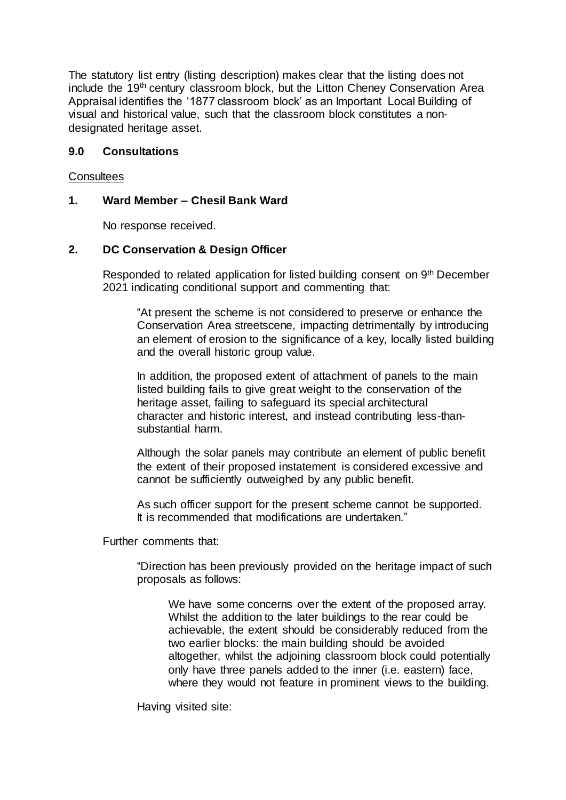The statutory list entry (listing description) makes clear that the listing does not include the 19<sup>th</sup> century classroom block, but the Litton Cheney Conservation Area Appraisal identifies the '1877 classroom block' as an Important Local Building of visual and historical value, such that the classroom block constitutes a nondesignated heritage asset.

## **9.0 Consultations**

#### **Consultees**

## **1. Ward Member – Chesil Bank Ward**

No response received.

#### **2. DC Conservation & Design Officer**

Responded to related application for listed building consent on 9<sup>th</sup> December 2021 indicating conditional support and commenting that:

"At present the scheme is not considered to preserve or enhance the Conservation Area streetscene, impacting detrimentally by introducing an element of erosion to the significance of a key, locally listed building and the overall historic group value.

In addition, the proposed extent of attachment of panels to the main listed building fails to give great weight to the conservation of the heritage asset, failing to safeguard its special architectural character and historic interest, and instead contributing less-thansubstantial harm.

Although the solar panels may contribute an element of public benefit the extent of their proposed instatement is considered excessive and cannot be sufficiently outweighed by any public benefit.

As such officer support for the present scheme cannot be supported. It is recommended that modifications are undertaken."

Further comments that:

"Direction has been previously provided on the heritage impact of such proposals as follows:

We have some concerns over the extent of the proposed array. Whilst the addition to the later buildings to the rear could be achievable, the extent should be considerably reduced from the two earlier blocks: the main building should be avoided altogether, whilst the adjoining classroom block could potentially only have three panels added to the inner (i.e. eastern) face, where they would not feature in prominent views to the building.

Having visited site: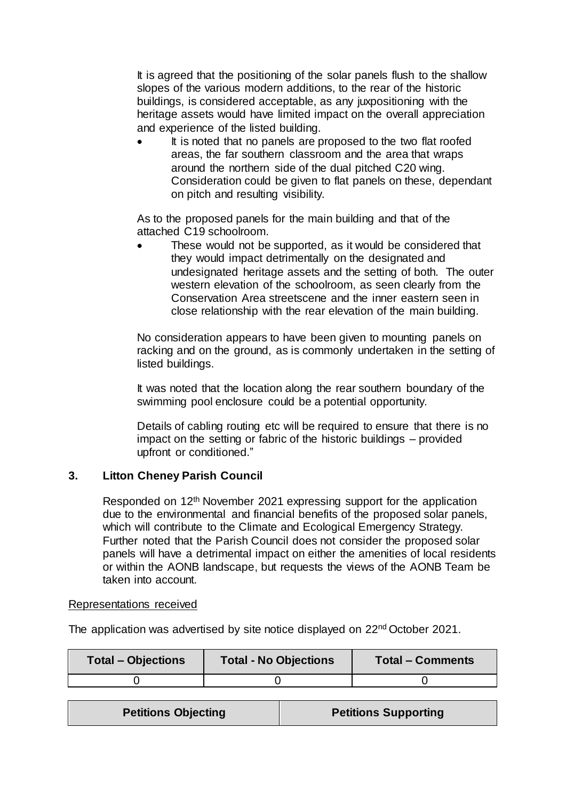It is agreed that the positioning of the solar panels flush to the shallow slopes of the various modern additions, to the rear of the historic buildings, is considered acceptable, as any juxpositioning with the heritage assets would have limited impact on the overall appreciation and experience of the listed building.

 It is noted that no panels are proposed to the two flat roofed areas, the far southern classroom and the area that wraps around the northern side of the dual pitched C20 wing. Consideration could be given to flat panels on these, dependant on pitch and resulting visibility.

As to the proposed panels for the main building and that of the attached C19 schoolroom.

 These would not be supported, as it would be considered that they would impact detrimentally on the designated and undesignated heritage assets and the setting of both. The outer western elevation of the schoolroom, as seen clearly from the Conservation Area streetscene and the inner eastern seen in close relationship with the rear elevation of the main building.

No consideration appears to have been given to mounting panels on racking and on the ground, as is commonly undertaken in the setting of listed buildings.

It was noted that the location along the rear southern boundary of the swimming pool enclosure could be a potential opportunity.

Details of cabling routing etc will be required to ensure that there is no impact on the setting or fabric of the historic buildings – provided upfront or conditioned."

# **3. Litton Cheney Parish Council**

Responded on 12<sup>th</sup> November 2021 expressing support for the application due to the environmental and financial benefits of the proposed solar panels, which will contribute to the Climate and Ecological Emergency Strategy. Further noted that the Parish Council does not consider the proposed solar panels will have a detrimental impact on either the amenities of local residents or within the AONB landscape, but requests the views of the AONB Team be taken into account.

#### Representations received

The application was advertised by site notice displayed on 22nd October 2021.

| <b>Total – Objections</b> | <b>Total - No Objections</b> | <b>Total - Comments</b> |
|---------------------------|------------------------------|-------------------------|
|                           |                              |                         |

| <b>Petitions Objecting</b> | <b>Petitions Supporting</b> |
|----------------------------|-----------------------------|
|----------------------------|-----------------------------|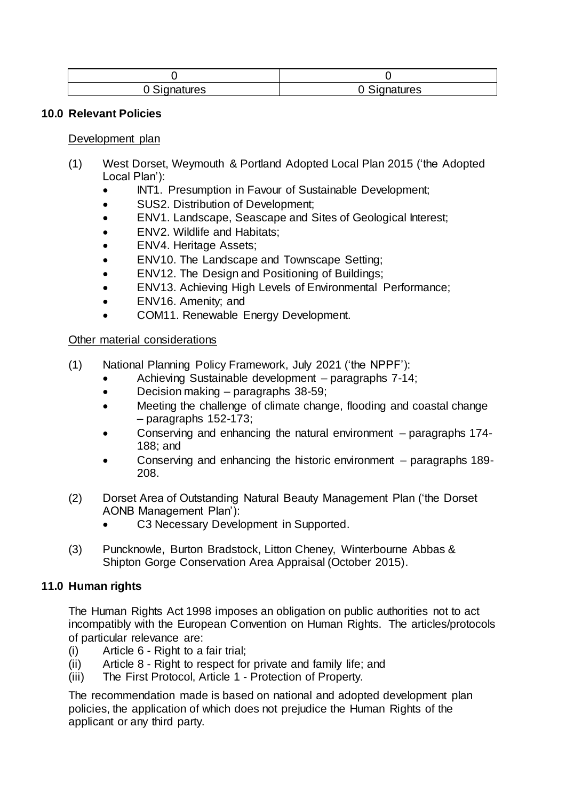| 0 Signatures | <sup>Signatures</sup> |
|--------------|-----------------------|

#### **10.0 Relevant Policies**

Development plan

- (1) West Dorset, Weymouth & Portland Adopted Local Plan 2015 ('the Adopted Local Plan'):
	- INT1. Presumption in Favour of Sustainable Development;
	- SUS2. Distribution of Development;
	- ENV1. Landscape, Seascape and Sites of Geological Interest;
	- ENV2. Wildlife and Habitats;
	- ENV4. Heritage Assets;
	- ENV10. The Landscape and Townscape Setting;
	- ENV12. The Design and Positioning of Buildings;
	- ENV13. Achieving High Levels of Environmental Performance;
	- ENV16. Amenity; and
	- COM11. Renewable Energy Development.

#### Other material considerations

- (1) National Planning Policy Framework, July 2021 ('the NPPF'):
	- Achieving Sustainable development paragraphs 7-14;
	- Decision making paragraphs 38-59;
	- Meeting the challenge of climate change, flooding and coastal change – paragraphs 152-173;
	- Conserving and enhancing the natural environment paragraphs 174- 188; and
	- Conserving and enhancing the historic environment paragraphs 189- 208.
- (2) Dorset Area of Outstanding Natural Beauty Management Plan ('the Dorset AONB Management Plan'):
	- C3 Necessary Development in Supported.
- (3) Puncknowle, Burton Bradstock, Litton Cheney, Winterbourne Abbas & Shipton Gorge Conservation Area Appraisal (October 2015).

## **11.0 Human rights**

The Human Rights Act 1998 imposes an obligation on public authorities not to act incompatibly with the European Convention on Human Rights. The articles/protocols of particular relevance are:

- (i) Article 6 Right to a fair trial;
- (ii) Article 8 Right to respect for private and family life; and
- (iii) The First Protocol, Article 1 Protection of Property.

The recommendation made is based on national and adopted development plan policies, the application of which does not prejudice the Human Rights of the applicant or any third party.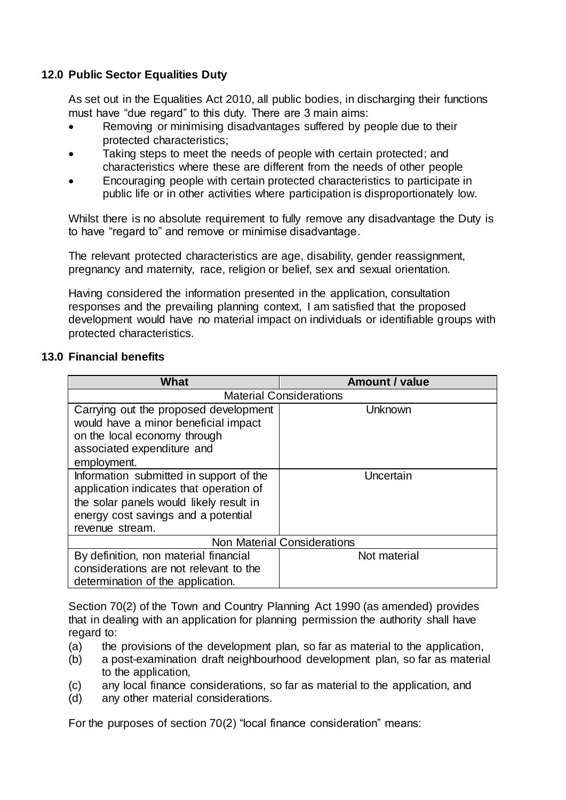# **12.0 Public Sector Equalities Duty**

As set out in the Equalities Act 2010, all public bodies, in discharging their functions must have "due regard" to this duty. There are 3 main aims:

- Removing or minimising disadvantages suffered by people due to their protected characteristics;
- Taking steps to meet the needs of people with certain protected; and characteristics where these are different from the needs of other people
- Encouraging people with certain protected characteristics to participate in public life or in other activities where participation is disproportionately low.

Whilst there is no absolute requirement to fully remove any disadvantage the Duty is to have "regard to" and remove or minimise disadvantage.

The relevant protected characteristics are age, disability, gender reassignment, pregnancy and maternity, race, religion or belief, sex and sexual orientation.

Having considered the information presented in the application, consultation responses and the prevailing planning context, I am satisfied that the proposed development would have no material impact on individuals or identifiable groups with protected characteristics.

## **13.0 Financial benefits**

| What                                    | <b>Amount / value</b> |  |  |
|-----------------------------------------|-----------------------|--|--|
| <b>Material Considerations</b>          |                       |  |  |
| Carrying out the proposed development   | Unknown               |  |  |
| would have a minor beneficial impact    |                       |  |  |
| on the local economy through            |                       |  |  |
| associated expenditure and              |                       |  |  |
| employment.                             |                       |  |  |
| Information submitted in support of the | Uncertain             |  |  |
| application indicates that operation of |                       |  |  |
| the solar panels would likely result in |                       |  |  |
| energy cost savings and a potential     |                       |  |  |
| revenue stream.                         |                       |  |  |
| <b>Non Material Considerations</b>      |                       |  |  |
| By definition, non material financial   | Not material          |  |  |
| considerations are not relevant to the  |                       |  |  |
| determination of the application.       |                       |  |  |

Section 70(2) of the Town and Country Planning Act 1990 (as amended) provides that in dealing with an application for planning permission the authority shall have regard to:

- (a) the provisions of the development plan, so far as material to the application,
- (b) a post-examination draft neighbourhood development plan, so far as material to the application,
- (c) any local finance considerations, so far as material to the application, and
- (d) any other material considerations.

For the purposes of section 70(2) "local finance consideration" means: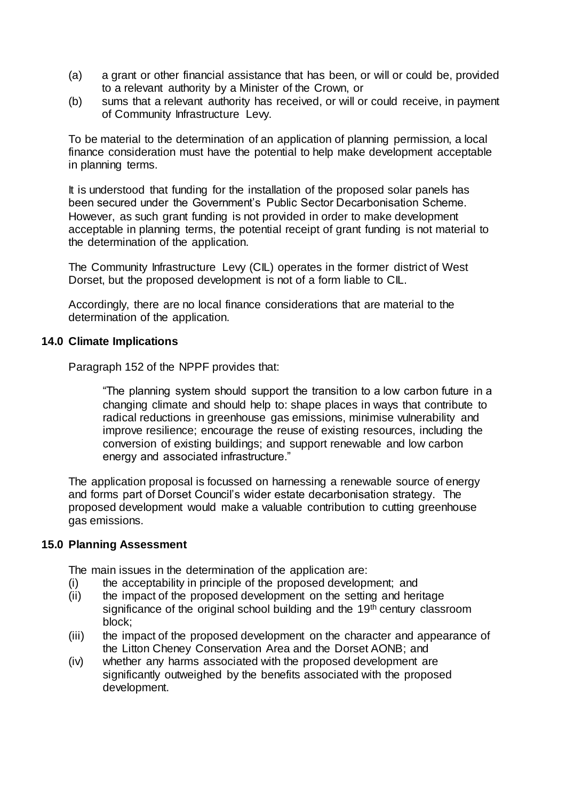- (a) a grant or other financial assistance that has been, or will or could be, provided to a relevant authority by a Minister of the Crown, or
- (b) sums that a relevant authority has received, or will or could receive, in payment of Community Infrastructure Levy.

To be material to the determination of an application of planning permission, a local finance consideration must have the potential to help make development acceptable in planning terms.

It is understood that funding for the installation of the proposed solar panels has been secured under the Government's Public Sector Decarbonisation Scheme. However, as such grant funding is not provided in order to make development acceptable in planning terms, the potential receipt of grant funding is not material to the determination of the application.

The Community Infrastructure Levy (CIL) operates in the former district of West Dorset, but the proposed development is not of a form liable to CIL.

Accordingly, there are no local finance considerations that are material to the determination of the application.

#### **14.0 Climate Implications**

Paragraph 152 of the NPPF provides that:

"The planning system should support the transition to a low carbon future in a changing climate and should help to: shape places in ways that contribute to radical reductions in greenhouse gas emissions, minimise vulnerability and improve resilience; encourage the reuse of existing resources, including the conversion of existing buildings; and support renewable and low carbon energy and associated infrastructure."

The application proposal is focussed on harnessing a renewable source of energy and forms part of Dorset Council's wider estate decarbonisation strategy. The proposed development would make a valuable contribution to cutting greenhouse gas emissions.

## **15.0 Planning Assessment**

The main issues in the determination of the application are:

- (i) the acceptability in principle of the proposed development; and
- (ii) the impact of the proposed development on the setting and heritage significance of the original school building and the 19<sup>th</sup> century classroom block;
- (iii) the impact of the proposed development on the character and appearance of the Litton Cheney Conservation Area and the Dorset AONB; and
- (iv) whether any harms associated with the proposed development are significantly outweighed by the benefits associated with the proposed development.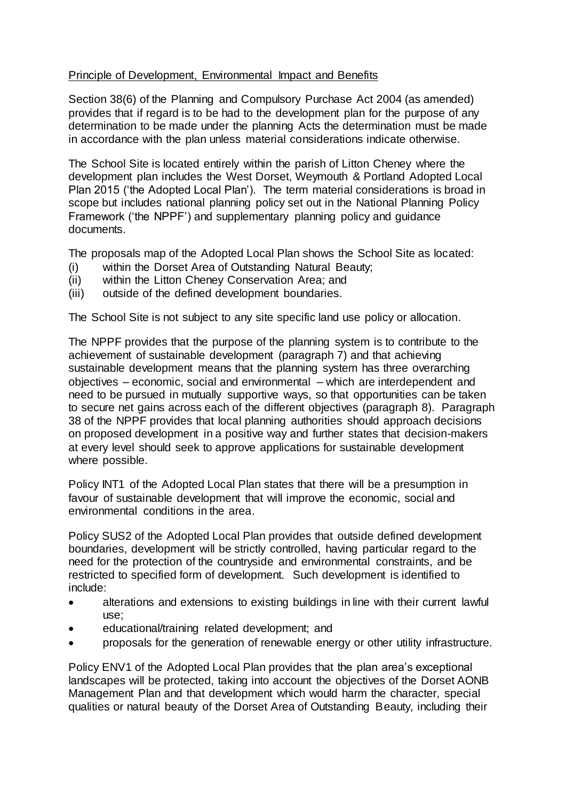# Principle of Development, Environmental Impact and Benefits

Section 38(6) of the Planning and Compulsory Purchase Act 2004 (as amended) provides that if regard is to be had to the development plan for the purpose of any determination to be made under the planning Acts the determination must be made in accordance with the plan unless material considerations indicate otherwise.

The School Site is located entirely within the parish of Litton Cheney where the development plan includes the West Dorset, Weymouth & Portland Adopted Local Plan 2015 ('the Adopted Local Plan'). The term material considerations is broad in scope but includes national planning policy set out in the National Planning Policy Framework ('the NPPF') and supplementary planning policy and guidance documents.

The proposals map of the Adopted Local Plan shows the School Site as located:

- (i) within the Dorset Area of Outstanding Natural Beauty;
- (ii) within the Litton Cheney Conservation Area; and
- (iii) outside of the defined development boundaries.

The School Site is not subject to any site specific land use policy or allocation.

The NPPF provides that the purpose of the planning system is to contribute to the achievement of sustainable development (paragraph 7) and that achieving sustainable development means that the planning system has three overarching objectives – economic, social and environmental – which are interdependent and need to be pursued in mutually supportive ways, so that opportunities can be taken to secure net gains across each of the different objectives (paragraph 8). Paragraph 38 of the NPPF provides that local planning authorities should approach decisions on proposed development in a positive way and further states that decision-makers at every level should seek to approve applications for sustainable development where possible.

Policy INT1 of the Adopted Local Plan states that there will be a presumption in favour of sustainable development that will improve the economic, social and environmental conditions in the area.

Policy SUS2 of the Adopted Local Plan provides that outside defined development boundaries, development will be strictly controlled, having particular regard to the need for the protection of the countryside and environmental constraints, and be restricted to specified form of development. Such development is identified to include:

- alterations and extensions to existing buildings in line with their current lawful use;
- educational/training related development; and
- proposals for the generation of renewable energy or other utility infrastructure.

Policy ENV1 of the Adopted Local Plan provides that the plan area's exceptional landscapes will be protected, taking into account the objectives of the Dorset AONB Management Plan and that development which would harm the character, special qualities or natural beauty of the Dorset Area of Outstanding Beauty, including their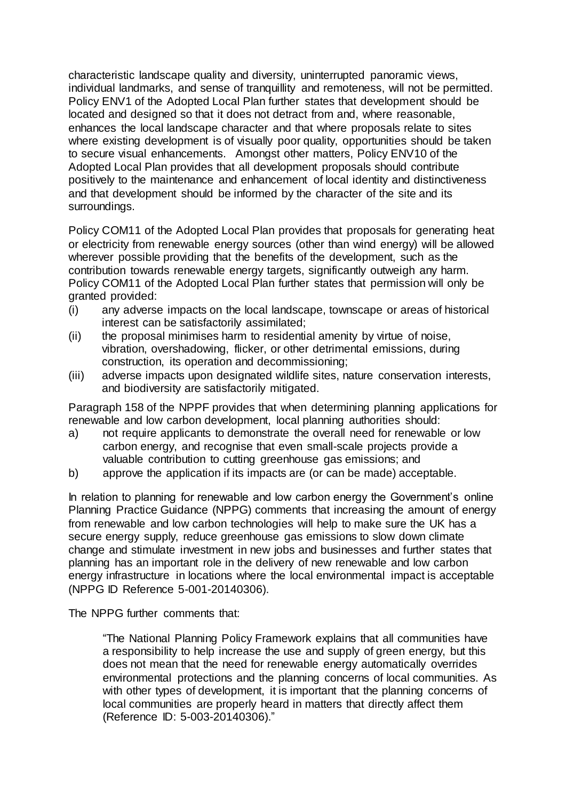characteristic landscape quality and diversity, uninterrupted panoramic views, individual landmarks, and sense of tranquillity and remoteness, will not be permitted. Policy ENV1 of the Adopted Local Plan further states that development should be located and designed so that it does not detract from and, where reasonable, enhances the local landscape character and that where proposals relate to sites where existing development is of visually poor quality, opportunities should be taken to secure visual enhancements. Amongst other matters, Policy ENV10 of the Adopted Local Plan provides that all development proposals should contribute positively to the maintenance and enhancement of local identity and distinctiveness and that development should be informed by the character of the site and its surroundings.

Policy COM11 of the Adopted Local Plan provides that proposals for generating heat or electricity from renewable energy sources (other than wind energy) will be allowed wherever possible providing that the benefits of the development, such as the contribution towards renewable energy targets, significantly outweigh any harm. Policy COM11 of the Adopted Local Plan further states that permission will only be granted provided:

- (i) any adverse impacts on the local landscape, townscape or areas of historical interest can be satisfactorily assimilated;
- (ii) the proposal minimises harm to residential amenity by virtue of noise, vibration, overshadowing, flicker, or other detrimental emissions, during construction, its operation and decommissioning;
- (iii) adverse impacts upon designated wildlife sites, nature conservation interests, and biodiversity are satisfactorily mitigated.

Paragraph 158 of the NPPF provides that when determining planning applications for renewable and low carbon development, local planning authorities should:

- a) not require applicants to demonstrate the overall need for renewable or low carbon energy, and recognise that even small-scale projects provide a valuable contribution to cutting greenhouse gas emissions; and
- b) approve the application if its impacts are (or can be made) acceptable.

In relation to planning for renewable and low carbon energy the Government's online Planning Practice Guidance (NPPG) comments that increasing the amount of energy from renewable and low carbon technologies will help to make sure the UK has a secure energy supply, reduce greenhouse gas emissions to slow down climate change and stimulate investment in new jobs and businesses and further states that planning has an important role in the delivery of new renewable and low carbon energy infrastructure in locations where the local environmental impact is acceptable (NPPG ID Reference 5-001-20140306).

The NPPG further comments that:

"The National Planning Policy Framework explains that all communities have a responsibility to help increase the use and supply of green energy, but this does not mean that the need for renewable energy automatically overrides environmental protections and the planning concerns of local communities. As with other types of development, it is important that the planning concerns of local communities are properly heard in matters that directly affect them (Reference ID: 5-003-20140306)."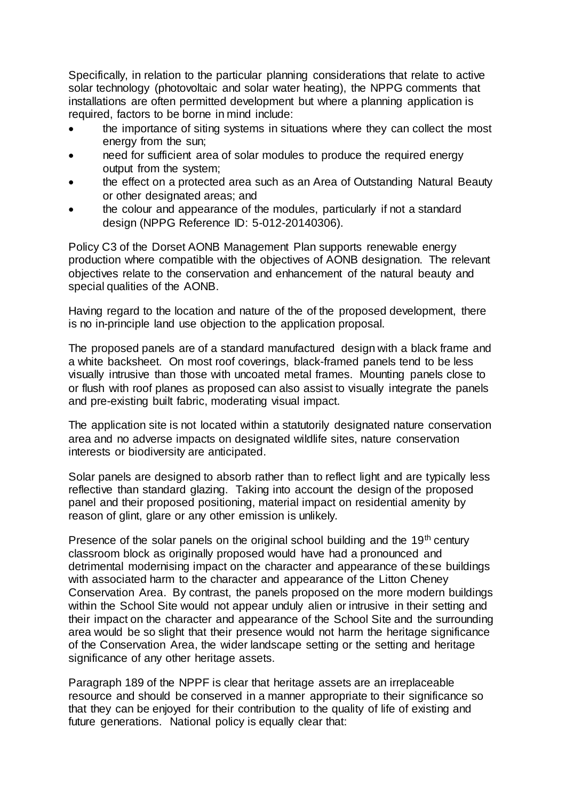Specifically, in relation to the particular planning considerations that relate to active solar technology (photovoltaic and solar water heating), the NPPG comments that installations are often permitted development but where a planning application is required, factors to be borne in mind include:

- the importance of siting systems in situations where they can collect the most energy from the sun;
- need for sufficient area of solar modules to produce the required energy output from the system;
- the effect on a protected area such as an Area of Outstanding Natural Beauty or other designated areas; and
- the colour and appearance of the modules, particularly if not a standard design (NPPG Reference ID: 5-012-20140306).

Policy C3 of the Dorset AONB Management Plan supports renewable energy production where compatible with the objectives of AONB designation. The relevant objectives relate to the conservation and enhancement of the natural beauty and special qualities of the AONB.

Having regard to the location and nature of the of the proposed development, there is no in-principle land use objection to the application proposal.

The proposed panels are of a standard manufactured design with a black frame and a white backsheet. On most roof coverings, black-framed panels tend to be less visually intrusive than those with uncoated metal frames. Mounting panels close to or flush with roof planes as proposed can also assist to visually integrate the panels and pre-existing built fabric, moderating visual impact.

The application site is not located within a statutorily designated nature conservation area and no adverse impacts on designated wildlife sites, nature conservation interests or biodiversity are anticipated.

Solar panels are designed to absorb rather than to reflect light and are typically less reflective than standard glazing. Taking into account the design of the proposed panel and their proposed positioning, material impact on residential amenity by reason of glint, glare or any other emission is unlikely.

Presence of the solar panels on the original school building and the  $19<sup>th</sup>$  century classroom block as originally proposed would have had a pronounced and detrimental modernising impact on the character and appearance of these buildings with associated harm to the character and appearance of the Litton Cheney Conservation Area. By contrast, the panels proposed on the more modern buildings within the School Site would not appear unduly alien or intrusive in their setting and their impact on the character and appearance of the School Site and the surrounding area would be so slight that their presence would not harm the heritage significance of the Conservation Area, the wider landscape setting or the setting and heritage significance of any other heritage assets.

Paragraph 189 of the NPPF is clear that heritage assets are an irreplaceable resource and should be conserved in a manner appropriate to their significance so that they can be enjoyed for their contribution to the quality of life of existing and future generations. National policy is equally clear that: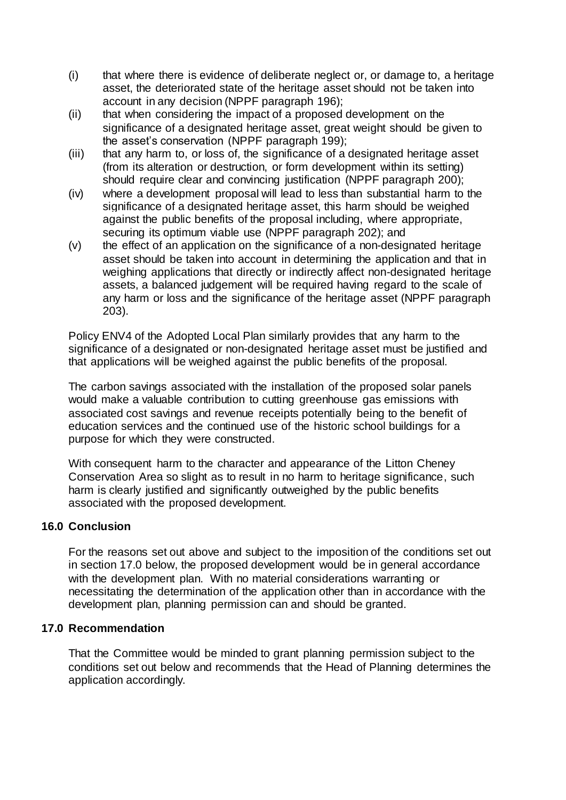- (i) that where there is evidence of deliberate neglect or, or damage to, a heritage asset, the deteriorated state of the heritage asset should not be taken into account in any decision (NPPF paragraph 196);
- (ii) that when considering the impact of a proposed development on the significance of a designated heritage asset, great weight should be given to the asset's conservation (NPPF paragraph 199);
- (iii) that any harm to, or loss of, the significance of a designated heritage asset (from its alteration or destruction, or form development within its setting) should require clear and convincing justification (NPPF paragraph 200);
- (iv) where a development proposal will lead to less than substantial harm to the significance of a designated heritage asset, this harm should be weighed against the public benefits of the proposal including, where appropriate, securing its optimum viable use (NPPF paragraph 202); and
- (v) the effect of an application on the significance of a non-designated heritage asset should be taken into account in determining the application and that in weighing applications that directly or indirectly affect non-designated heritage assets, a balanced judgement will be required having regard to the scale of any harm or loss and the significance of the heritage asset (NPPF paragraph) 203).

Policy ENV4 of the Adopted Local Plan similarly provides that any harm to the significance of a designated or non-designated heritage asset must be justified and that applications will be weighed against the public benefits of the proposal.

The carbon savings associated with the installation of the proposed solar panels would make a valuable contribution to cutting greenhouse gas emissions with associated cost savings and revenue receipts potentially being to the benefit of education services and the continued use of the historic school buildings for a purpose for which they were constructed.

With consequent harm to the character and appearance of the Litton Cheney Conservation Area so slight as to result in no harm to heritage significance, such harm is clearly justified and significantly outweighed by the public benefits associated with the proposed development.

# **16.0 Conclusion**

For the reasons set out above and subject to the imposition of the conditions set out in section 17.0 below, the proposed development would be in general accordance with the development plan. With no material considerations warranting or necessitating the determination of the application other than in accordance with the development plan, planning permission can and should be granted.

## **17.0 Recommendation**

That the Committee would be minded to grant planning permission subject to the conditions set out below and recommends that the Head of Planning determines the application accordingly.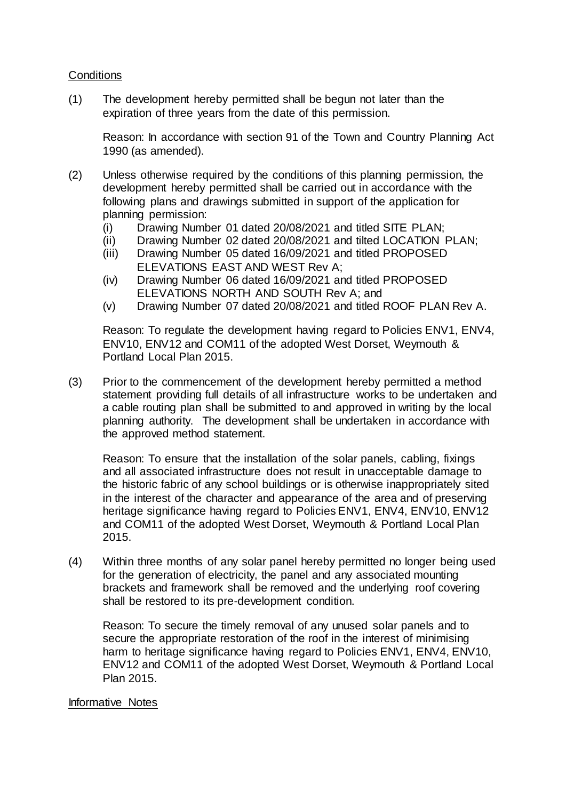#### **Conditions**

(1) The development hereby permitted shall be begun not later than the expiration of three years from the date of this permission.

Reason: In accordance with section 91 of the Town and Country Planning Act 1990 (as amended).

- (2) Unless otherwise required by the conditions of this planning permission, the development hereby permitted shall be carried out in accordance with the following plans and drawings submitted in support of the application for planning permission:
	- (i) Drawing Number 01 dated 20/08/2021 and titled SITE PLAN;
	- (ii) Drawing Number 02 dated 20/08/2021 and tilted LOCATION PLAN;
	- (iii) Drawing Number 05 dated 16/09/2021 and titled PROPOSED ELEVATIONS EAST AND WEST Rev A;
	- (iv) Drawing Number 06 dated 16/09/2021 and titled PROPOSED ELEVATIONS NORTH AND SOUTH Rev A; and
	- (v) Drawing Number 07 dated 20/08/2021 and titled ROOF PLAN Rev A.

Reason: To regulate the development having regard to Policies ENV1, ENV4, ENV10, ENV12 and COM11 of the adopted West Dorset, Weymouth & Portland Local Plan 2015.

(3) Prior to the commencement of the development hereby permitted a method statement providing full details of all infrastructure works to be undertaken and a cable routing plan shall be submitted to and approved in writing by the local planning authority. The development shall be undertaken in accordance with the approved method statement.

Reason: To ensure that the installation of the solar panels, cabling, fixings and all associated infrastructure does not result in unacceptable damage to the historic fabric of any school buildings or is otherwise inappropriately sited in the interest of the character and appearance of the area and of preserving heritage significance having regard to Policies ENV1, ENV4, ENV10, ENV12 and COM11 of the adopted West Dorset, Weymouth & Portland Local Plan 2015.

(4) Within three months of any solar panel hereby permitted no longer being used for the generation of electricity, the panel and any associated mounting brackets and framework shall be removed and the underlying roof covering shall be restored to its pre-development condition.

Reason: To secure the timely removal of any unused solar panels and to secure the appropriate restoration of the roof in the interest of minimising harm to heritage significance having regard to Policies ENV1, ENV4, ENV10, ENV12 and COM11 of the adopted West Dorset, Weymouth & Portland Local Plan 2015.

#### Informative Notes